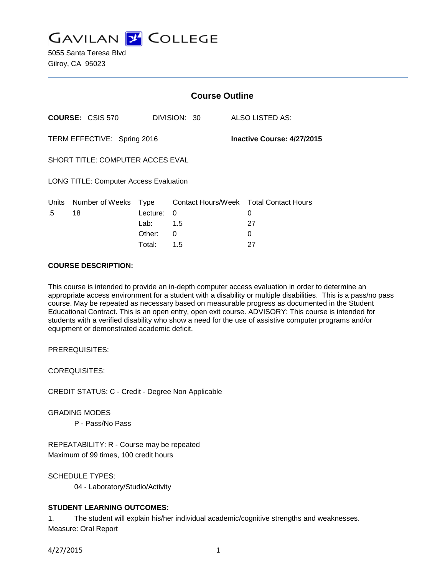

5055 Santa Teresa Blvd Gilroy, CA 95023

|                                               |                            | <b>Course Outline</b> |              |  |                            |                                                   |  |
|-----------------------------------------------|----------------------------|-----------------------|--------------|--|----------------------------|---------------------------------------------------|--|
|                                               | <b>COURSE: CSIS 570</b>    |                       | DIVISION: 30 |  |                            | ALSO LISTED AS:                                   |  |
| TERM EFFECTIVE: Spring 2016                   |                            |                       |              |  | Inactive Course: 4/27/2015 |                                                   |  |
| SHORT TITLE: COMPUTER ACCES EVAL              |                            |                       |              |  |                            |                                                   |  |
| <b>LONG TITLE: Computer Access Evaluation</b> |                            |                       |              |  |                            |                                                   |  |
| <u>Units</u><br>.5                            | Number of Weeks Type<br>18 | Lecture:<br>Lab: 1.5  | 0            |  |                            | Contact Hours/Week Total Contact Hours<br>0<br>27 |  |
|                                               |                            | Other:                | 0            |  |                            | 0                                                 |  |

Total: 1.5 27

### **COURSE DESCRIPTION:**

This course is intended to provide an in-depth computer access evaluation in order to determine an appropriate access environment for a student with a disability or multiple disabilities. This is a pass/no pass course. May be repeated as necessary based on measurable progress as documented in the Student Educational Contract. This is an open entry, open exit course. ADVISORY: This course is intended for students with a verified disability who show a need for the use of assistive computer programs and/or equipment or demonstrated academic deficit.

PREREQUISITES:

COREQUISITES:

CREDIT STATUS: C - Credit - Degree Non Applicable

GRADING MODES

P - Pass/No Pass

REPEATABILITY: R - Course may be repeated Maximum of 99 times, 100 credit hours

SCHEDULE TYPES: 04 - Laboratory/Studio/Activity

# **STUDENT LEARNING OUTCOMES:**

1. The student will explain his/her individual academic/cognitive strengths and weaknesses. Measure: Oral Report

4/27/2015 1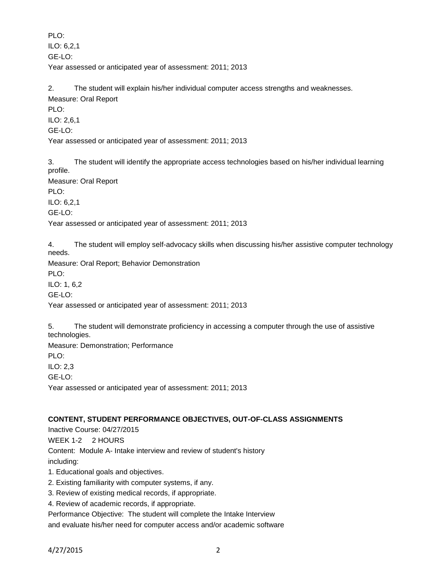PLO: ILO: 6,2,1 GE-LO: Year assessed or anticipated year of assessment: 2011; 2013

2. The student will explain his/her individual computer access strengths and weaknesses. Measure: Oral Report

PLO:

ILO: 2,6,1 GE-LO: Year assessed or anticipated year of assessment: 2011; 2013

3. The student will identify the appropriate access technologies based on his/her individual learning profile.

Measure: Oral Report

PLO:

ILO: 6,2,1

GE-LO:

Year assessed or anticipated year of assessment: 2011; 2013

4. The student will employ self-advocacy skills when discussing his/her assistive computer technology needs.

Measure: Oral Report; Behavior Demonstration

PLO: ILO: 1, 6,2

GE-LO:

Year assessed or anticipated year of assessment: 2011; 2013

5. The student will demonstrate proficiency in accessing a computer through the use of assistive technologies.

Measure: Demonstration; Performance PLO: ILO: 2,3 GE-LO: Year assessed or anticipated year of assessment: 2011; 2013

# **CONTENT, STUDENT PERFORMANCE OBJECTIVES, OUT-OF-CLASS ASSIGNMENTS**

Inactive Course: 04/27/2015 WEEK 1-2 2 HOURS Content: Module A- Intake interview and review of student's history including:

1. Educational goals and objectives.

- 2. Existing familiarity with computer systems, if any.
- 3. Review of existing medical records, if appropriate.

4. Review of academic records, if appropriate.

Performance Objective: The student will complete the Intake Interview and evaluate his/her need for computer access and/or academic software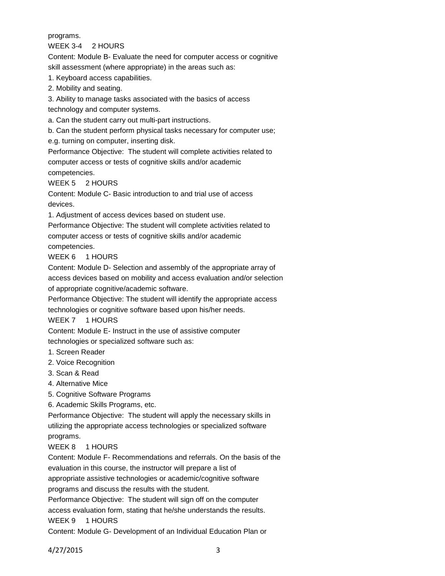### programs.

WEEK 3-4 2 HOURS

Content: Module B- Evaluate the need for computer access or cognitive skill assessment (where appropriate) in the areas such as:

1. Keyboard access capabilities.

2. Mobility and seating.

3. Ability to manage tasks associated with the basics of access

technology and computer systems.

a. Can the student carry out multi-part instructions.

b. Can the student perform physical tasks necessary for computer use;

e.g. turning on computer, inserting disk.

Performance Objective: The student will complete activities related to computer access or tests of cognitive skills and/or academic competencies.

WEEK 5 2 HOURS

Content: Module C- Basic introduction to and trial use of access devices.

1. Adjustment of access devices based on student use.

Performance Objective: The student will complete activities related to computer access or tests of cognitive skills and/or academic

competencies.

WEEK 6 1 HOURS

Content: Module D- Selection and assembly of the appropriate array of access devices based on mobility and access evaluation and/or selection of appropriate cognitive/academic software.

Performance Objective: The student will identify the appropriate access

technologies or cognitive software based upon his/her needs.

WEEK 7 1 HOURS

Content: Module E- Instruct in the use of assistive computer

technologies or specialized software such as:

- 1. Screen Reader
- 2. Voice Recognition
- 3. Scan & Read
- 4. Alternative Mice

5. Cognitive Software Programs

6. Academic Skills Programs, etc.

Performance Objective: The student will apply the necessary skills in utilizing the appropriate access technologies or specialized software programs.

WEEK 8 1 HOURS

Content: Module F- Recommendations and referrals. On the basis of the evaluation in this course, the instructor will prepare a list of appropriate assistive technologies or academic/cognitive software

programs and discuss the results with the student.

Performance Objective: The student will sign off on the computer access evaluation form, stating that he/she understands the results.

WEEK 9 1 HOURS

Content: Module G- Development of an Individual Education Plan or

4/27/2015 3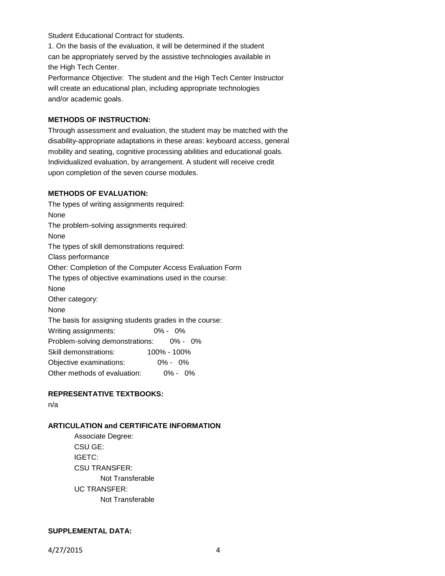Student Educational Contract for students.

1. On the basis of the evaluation, it will be determined if the student can be appropriately served by the assistive technologies available in the High Tech Center.

Performance Objective: The student and the High Tech Center Instructor will create an educational plan, including appropriate technologies and/or academic goals.

## **METHODS OF INSTRUCTION:**

Through assessment and evaluation, the student may be matched with the disability-appropriate adaptations in these areas: keyboard access, general mobility and seating, cognitive processing abilities and educational goals. Individualized evaluation, by arrangement. A student will receive credit upon completion of the seven course modules.

## **METHODS OF EVALUATION:**

The types of writing assignments required: None The problem-solving assignments required: None The types of skill demonstrations required: Class performance Other: Completion of the Computer Access Evaluation Form The types of objective examinations used in the course: None Other category: None The basis for assigning students grades in the course: Writing assignments: 0% - 0% Problem-solving demonstrations: 0% - 0% Skill demonstrations: 100% - 100% Objective examinations: 0% - 0% Other methods of evaluation: 0% - 0%

# **REPRESENTATIVE TEXTBOOKS:**

n/a

# **ARTICULATION and CERTIFICATE INFORMATION**

Associate Degree: CSU GE: IGETC: CSU TRANSFER: Not Transferable UC TRANSFER: Not Transferable

## **SUPPLEMENTAL DATA:**